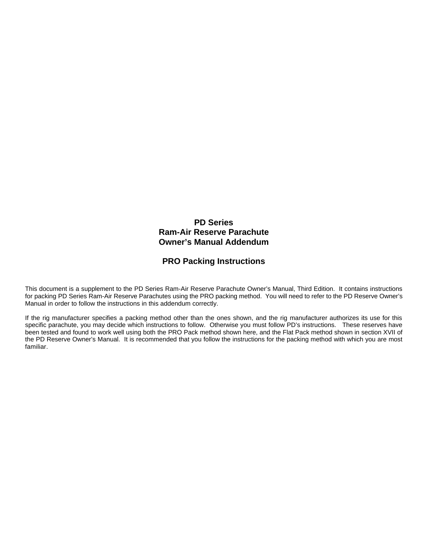## **PD Series Ram-Air Reserve Parachute Owner's Manual Addendum**

## **PRO Packing Instructions**

This document is a supplement to the PD Series Ram-Air Reserve Parachute Owner's Manual, Third Edition. It contains instructions for packing PD Series Ram-Air Reserve Parachutes using the PRO packing method. You will need to refer to the PD Reserve Owner's Manual in order to follow the instructions in this addendum correctly.

If the rig manufacturer specifies a packing method other than the ones shown, and the rig manufacturer authorizes its use for this specific parachute, you may decide which instructions to follow. Otherwise you must follow PD's instructions. These reserves have been tested and found to work well using both the PRO Pack method shown here, and the Flat Pack method shown in section XVII of the PD Reserve Owner's Manual. It is recommended that you follow the instructions for the packing method with which you are most familiar.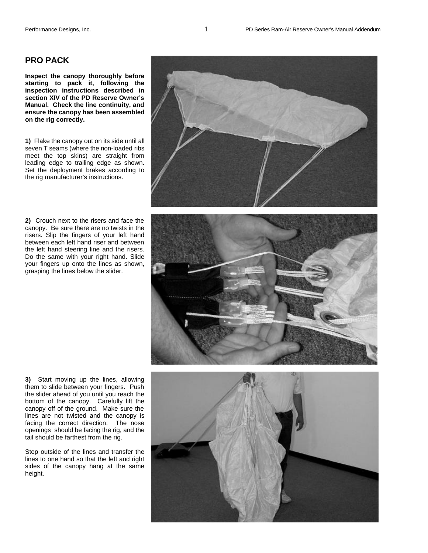## **PRO PACK**

**Inspect the canopy thoroughly before starting to pack it, following the inspection instructions described in section XIV of the PD Reserve Owner's Manual. Check the line continuity, and ensure the canopy has been assembled on the rig correctly.** 

**1)** Flake the canopy out on its side until all seven T seams (where the non-loaded ribs meet the top skins) are straight from leading edge to trailing edge as shown. Set the deployment brakes according to the rig manufacturer's instructions.

**2)** Crouch next to the risers and face the canopy. Be sure there are no twists in the risers. Slip the fingers of your left hand between each left hand riser and between the left hand steering line and the risers. Do the same with your right hand. Slide your fingers up onto the lines as shown, grasping the lines below the slider.





**3)** Start moving up the lines, allowing them to slide between your fingers. Push the slider ahead of you until you reach the bottom of the canopy. Carefully lift the canopy off of the ground. Make sure the lines are not twisted and the canopy is facing the correct direction. The nose openings should be facing the rig, and the tail should be farthest from the rig.

Step outside of the lines and transfer the lines to one hand so that the left and right sides of the canopy hang at the same height.

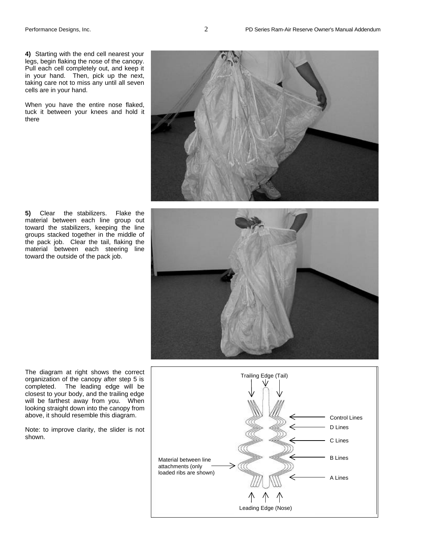**4)** Starting with the end cell nearest your legs, begin flaking the nose of the canopy. Pull each cell completely out, and keep it in your hand. Then, pick up the next, taking care not to miss any until all seven cells are in your hand.

When you have the entire nose flaked, tuck it between your knees and hold it there



**5)** Clear the stabilizers. Flake the material between each line group out toward the stabilizers, keeping the line groups stacked together in the middle of the pack job. Clear the tail, flaking the material between each steering line toward the outside of the pack job.



The diagram at right shows the correct organization of the canopy after step 5 is completed. The leading edge will be closest to your body, and the trailing edge will be farthest away from you. When looking straight down into the canopy from above, it should resemble this diagram.

Note: to improve clarity, the slider is not shown.

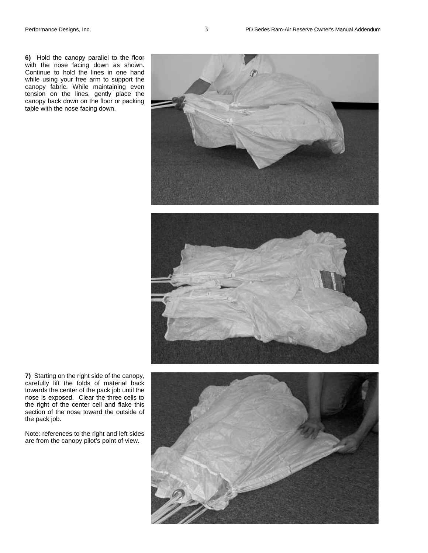table with the nose facing down.





**7)** Starting on the right side of the canopy, carefully lift the folds of material back towards the center of the pack job until the nose is exposed. Clear the three cells to the right of the center cell and flake this section of the nose toward the outside of the pack job.

Note: references to the right and left sides are from the canopy pilot's point of view.

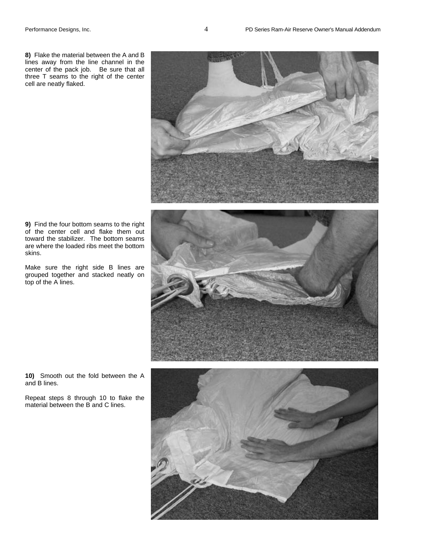**8)** Flake the material between the A and B lines away from the line channel in the center of the pack job. Be sure that all three T seams to the right of the center cell are neatly flaked.



**9)** Find the four bottom seams to the right of the center cell and flake them out toward the stabilizer. The bottom seams are where the loaded ribs meet the bottom skins.

Make sure the right side B lines are grouped together and stacked neatly on top of the A lines.



**10)** Smooth out the fold between the A and B lines.

Repeat steps 8 through 10 to flake the material between the B and C lines.

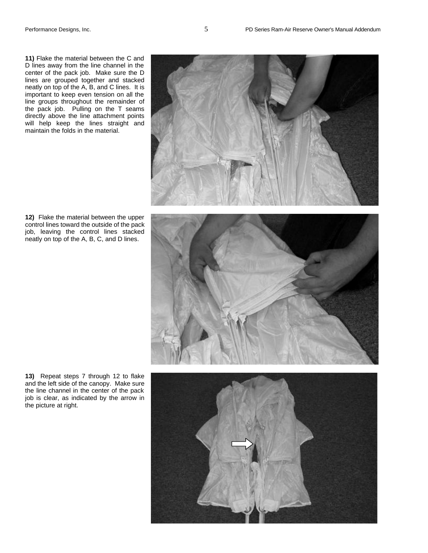**11)** Flake the material between the C and D lines away from the line channel in the center of the pack job. Make sure the D lines are grouped together and stacked neatly on top of the A, B, and C lines. It is important to keep even tension on all the line groups throughout the remainder of the pack job. Pulling on the T seams directly above the line attachment points will help keep the lines straight and maintain the folds in the material.



**12)** Flake the material between the upper control lines toward the outside of the pack job, leaving the control lines stacked neatly on top of the A, B, C, and D lines.



**13)** Repeat steps 7 through 12 to flake and the left side of the canopy. Make sure the line channel in the center of the pack job is clear, as indicated by the arrow in the picture at right.

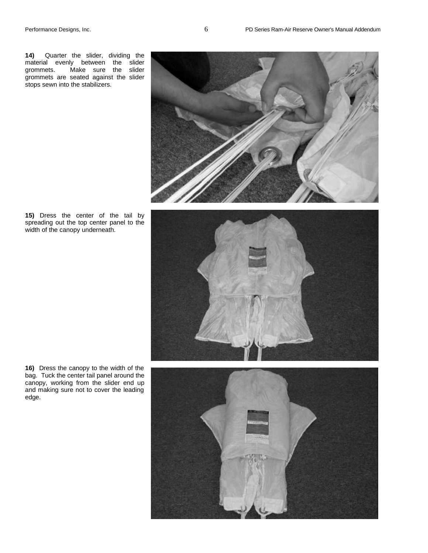**14)** Quarter the slider, dividing the material evenly between the slider grommets. Make sure the slider grommets are seated against the slider stops sewn into the stabilizers.